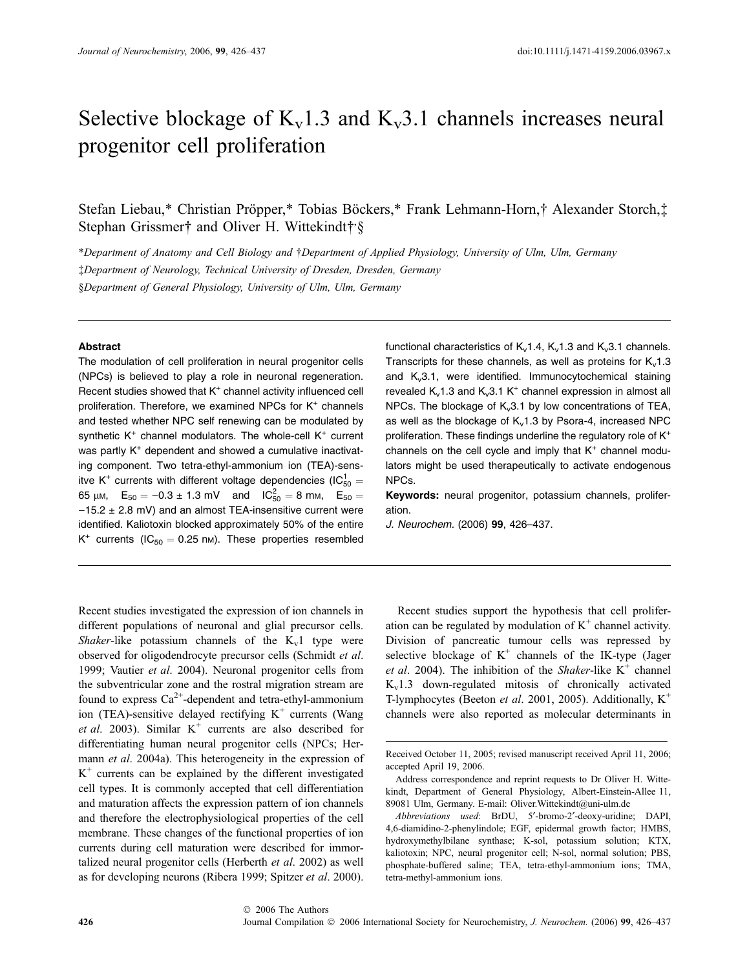# Selective blockage of  $K_v1.3$  and  $K_v3.1$  channels increases neural progenitor cell proliferation

Stefan Liebau,\* Christian Pröpper,\* Tobias Böckers,\* Frank Lehmann-Horn,† Alexander Storch,‡ Stephan Grissmer† and Oliver H. Wittekindt†'§

\*Department of Anatomy and Cell Biology and †Department of Applied Physiology, University of Ulm, Ulm, Germany Department of Neurology, Technical University of Dresden, Dresden, Germany §Department of General Physiology, University of Ulm, Ulm, Germany

# Abstract

The modulation of cell proliferation in neural progenitor cells (NPCs) is believed to play a role in neuronal regeneration. Recent studies showed that  $K^+$  channel activity influenced cell proliferation. Therefore, we examined NPCs for  $K<sup>+</sup>$  channels and tested whether NPC self renewing can be modulated by synthetic  $K^+$  channel modulators. The whole-cell  $K^+$  current was partly  $K<sup>+</sup>$  dependent and showed a cumulative inactivating component. Two tetra-ethyl-ammonium ion (TEA)-sensitve K<sup>+</sup> currents with different voltage dependencies (IC $_{50}^{1} =$ 65  $\mu$ м,  $E_{50} = -0.3 \pm 1.3 \text{ mV}$  and  $IC_{50}^2 = 8 \text{ mm}$ ,  $E_{50} =$  $-15.2 \pm 2.8$  mV) and an almost TEA-insensitive current were identified. Kaliotoxin blocked approximately 50% of the entire  $K^+$  currents (IC<sub>50</sub> = 0.25 nm). These properties resembled functional characteristics of  $K_v1.4$ ,  $K_v1.3$  and  $K_v3.1$  channels. Transcripts for these channels, as well as proteins for  $K_v1.3$ and  $K_v3.1$ , were identified. Immunocytochemical staining revealed  $K_v1.3$  and  $K_v3.1 K^+$  channel expression in almost all NPCs. The blockage of  $K_v3.1$  by low concentrations of TEA, as well as the blockage of  $K_v1.3$  by Psora-4, increased NPC proliferation. These findings underline the regulatory role of K<sup>+</sup> channels on the cell cycle and imply that  $K<sup>+</sup>$  channel modulators might be used therapeutically to activate endogenous NPCs.

Keywords: neural progenitor, potassium channels, proliferation.

J. Neurochem. (2006) 99, 426–437.

Recent studies investigated the expression of ion channels in different populations of neuronal and glial precursor cells. Shaker-like potassium channels of the  $K_v1$  type were observed for oligodendrocyte precursor cells (Schmidt et al. 1999; Vautier et al. 2004). Neuronal progenitor cells from the subventricular zone and the rostral migration stream are found to express  $Ca^{2+}$ -dependent and tetra-ethyl-ammonium ion (TEA)-sensitive delayed rectifying  $K^+$  currents (Wang et al. 2003). Similar  $K^+$  currents are also described for differentiating human neural progenitor cells (NPCs; Hermann *et al.* 2004a). This heterogeneity in the expression of  $K^+$  currents can be explained by the different investigated cell types. It is commonly accepted that cell differentiation and maturation affects the expression pattern of ion channels and therefore the electrophysiological properties of the cell membrane. These changes of the functional properties of ion currents during cell maturation were described for immortalized neural progenitor cells (Herberth et al. 2002) as well as for developing neurons (Ribera 1999; Spitzer et al. 2000).

Recent studies support the hypothesis that cell proliferation can be regulated by modulation of  $K^+$  channel activity. Division of pancreatic tumour cells was repressed by selective blockage of  $K^+$  channels of the IK-type (Jager et al. 2004). The inhibition of the Shaker-like  $K^+$  channel  $K_v1.3$  down-regulated mitosis of chronically activated T-lymphocytes (Beeton et al. 2001, 2005). Additionally,  $K^+$ channels were also reported as molecular determinants in

Received October 11, 2005; revised manuscript received April 11, 2006; accepted April 19, 2006.

Address correspondence and reprint requests to Dr Oliver H. Wittekindt, Department of General Physiology, Albert-Einstein-Allee 11, 89081 Ulm, Germany. E-mail: Oliver. Wittekindt@uni-ulm.de

Abbreviations used: BrDU, 5'-bromo-2'-deoxy-uridine; DAPI, 4,6-diamidino-2-phenylindole; EGF, epidermal growth factor; HMBS, hydroxymethylbilane synthase; K-sol, potassium solution; KTX, kaliotoxin; NPC, neural progenitor cell; N-sol, normal solution; PBS, phosphate-buffered saline; TEA, tetra-ethyl-ammonium ions; TMA, tetra-methyl-ammonium ions.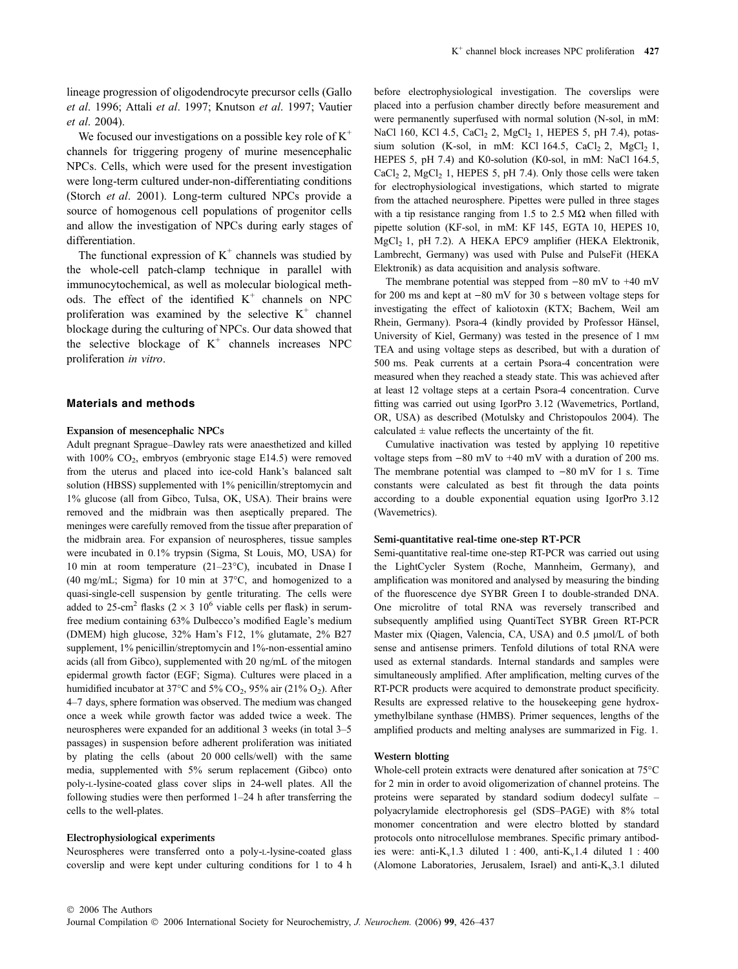lineage progression of oligodendrocyte precursor cells (Gallo et al. 1996; Attali et al. 1997; Knutson et al. 1997; Vautier et al. 2004).

We focused our investigations on a possible key role of  $K^+$ channels for triggering progeny of murine mesencephalic NPCs. Cells, which were used for the present investigation were long-term cultured under-non-differentiating conditions (Storch et al. 2001). Long-term cultured NPCs provide a source of homogenous cell populations of progenitor cells and allow the investigation of NPCs during early stages of differentiation.

The functional expression of  $K^+$  channels was studied by the whole-cell patch-clamp technique in parallel with immunocytochemical, as well as molecular biological methods. The effect of the identified  $K^+$  channels on NPC proliferation was examined by the selective  $K^+$  channel blockage during the culturing of NPCs. Our data showed that the selective blockage of  $K^+$  channels increases NPC proliferation in vitro.

# Materials and methods

## Expansion of mesencephalic NPCs

Adult pregnant Sprague–Dawley rats were anaesthetized and killed with  $100\%$  CO<sub>2</sub>, embryos (embryonic stage E14.5) were removed from the uterus and placed into ice-cold Hank's balanced salt solution (HBSS) supplemented with 1% penicillin/streptomycin and 1% glucose (all from Gibco, Tulsa, OK, USA). Their brains were removed and the midbrain was then aseptically prepared. The meninges were carefully removed from the tissue after preparation of the midbrain area. For expansion of neurospheres, tissue samples were incubated in 0.1% trypsin (Sigma, St Louis, MO, USA) for 10 min at room temperature (21–23 $^{\circ}$ C), incubated in Dnase I (40 mg/mL; Sigma) for 10 min at  $37^{\circ}$ C, and homogenized to a quasi-single-cell suspension by gentle triturating. The cells were added to 25-cm<sup>2</sup> flasks (2  $\times$  3 10<sup>6</sup> viable cells per flask) in serumfree medium containing 63% Dulbecco's modified Eagle's medium (DMEM) high glucose, 32% Ham's F12, 1% glutamate, 2% B27 supplement, 1% penicillin/streptomycin and 1%-non-essential amino acids (all from Gibco), supplemented with 20 ng/mL of the mitogen epidermal growth factor (EGF; Sigma). Cultures were placed in a humidified incubator at 37 $\degree$ C and 5% CO<sub>2</sub>, 95% air (21% O<sub>2</sub>). After 4–7 days, sphere formation was observed. The medium was changed once a week while growth factor was added twice a week. The neurospheres were expanded for an additional 3 weeks (in total 3–5 passages) in suspension before adherent proliferation was initiated by plating the cells (about 20 000 cells/well) with the same media, supplemented with 5% serum replacement (Gibco) onto poly-L-lysine-coated glass cover slips in 24-well plates. All the following studies were then performed 1–24 h after transferring the cells to the well-plates.

# Electrophysiological experiments

Neurospheres were transferred onto a poly-L-lysine-coated glass coverslip and were kept under culturing conditions for 1 to 4 h before electrophysiological investigation. The coverslips were placed into a perfusion chamber directly before measurement and were permanently superfused with normal solution (N-sol, in mM: NaCl 160, KCl 4.5, CaCl<sub>2</sub> 2, MgCl<sub>2</sub> 1, HEPES 5, pH 7.4), potassium solution (K-sol, in mM: KCl 164.5, CaCl<sub>2</sub> 2, MgCl<sub>2</sub> 1, HEPES 5, pH 7.4) and K0-solution (K0-sol, in mM: NaCl 164.5, CaCl<sub>2</sub> 2, MgCl<sub>2</sub> 1, HEPES 5, pH 7.4). Only those cells were taken for electrophysiological investigations, which started to migrate from the attached neurosphere. Pipettes were pulled in three stages with a tip resistance ranging from 1.5 to 2.5  $M\Omega$  when filled with pipette solution (KF-sol, in mM: KF 145, EGTA 10, HEPES 10, MgCl<sub>2</sub> 1, pH 7.2). A HEKA EPC9 amplifier (HEKA Elektronik, Lambrecht, Germany) was used with Pulse and PulseFit (HEKA Elektronik) as data acquisition and analysis software.

The membrane potential was stepped from  $-80$  mV to  $+40$  mV for 200 ms and kept at  $-80$  mV for 30 s between voltage steps for investigating the effect of kaliotoxin (KTX; Bachem, Weil am Rhein, Germany). Psora-4 (kindly provided by Professor Hänsel, University of Kiel, Germany) was tested in the presence of 1 mm TEA and using voltage steps as described, but with a duration of 500 ms. Peak currents at a certain Psora-4 concentration were measured when they reached a steady state. This was achieved after at least 12 voltage steps at a certain Psora-4 concentration. Curve fitting was carried out using IgorPro 3.12 (Wavemetrics, Portland, OR, USA) as described (Motulsky and Christopoulos 2004). The calculated  $\pm$  value reflects the uncertainty of the fit.

Cumulative inactivation was tested by applying 10 repetitive voltage steps from  $-80$  mV to  $+40$  mV with a duration of 200 ms. The membrane potential was clamped to  $-80$  mV for 1 s. Time constants were calculated as best fit through the data points according to a double exponential equation using IgorPro 3.12 (Wavemetrics).

## Semi-quantitative real-time one-step RT-PCR

Semi-quantitative real-time one-step RT-PCR was carried out using the LightCycler System (Roche, Mannheim, Germany), and amplification was monitored and analysed by measuring the binding of the fluorescence dye SYBR Green I to double-stranded DNA. One microlitre of total RNA was reversely transcribed and subsequently amplified using QuantiTect SYBR Green RT-PCR Master mix (Qiagen, Valencia, CA, USA) and 0.5 µmol/L of both sense and antisense primers. Tenfold dilutions of total RNA were used as external standards. Internal standards and samples were simultaneously amplified. After amplification, melting curves of the RT-PCR products were acquired to demonstrate product specificity. Results are expressed relative to the housekeeping gene hydroxymethylbilane synthase (HMBS). Primer sequences, lengths of the amplified products and melting analyses are summarized in Fig. 1.

## Western blotting

Whole-cell protein extracts were denatured after sonication at 75°C for 2 min in order to avoid oligomerization of channel proteins. The proteins were separated by standard sodium dodecyl sulfate – polyacrylamide electrophoresis gel (SDS–PAGE) with 8% total monomer concentration and were electro blotted by standard protocols onto nitrocellulose membranes. Specific primary antibodies were: anti- $K_v$ 1.3 diluted 1 : 400, anti- $K_v$ 1.4 diluted 1 : 400 (Alomone Laboratories, Jerusalem, Israel) and anti- $K_v3.1$  diluted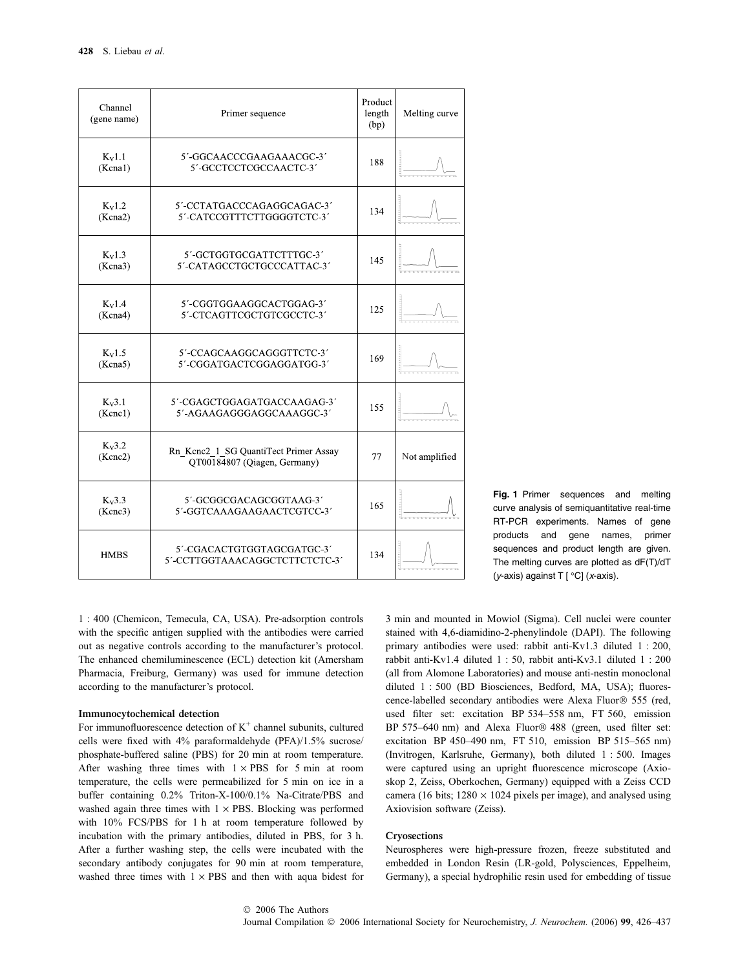| Channel<br>(gene name) | Primer sequence                                                       | Product<br>length<br>(bp) | Melting curve |  |
|------------------------|-----------------------------------------------------------------------|---------------------------|---------------|--|
| $K_v1.1$<br>(Kcna1)    | 5'-GGCAACCCGAAGAAACGC-3'<br>5'-GCCTCCTCGCCAACTC-3'                    | 188                       |               |  |
| $K_v1.2$<br>(Kcna2)    | 5'-CCTATGACCCAGAGGCAGAC-3'<br>5'-CATCCGTTTCTTGGGGTCTC-3'              | 134                       |               |  |
| $K_v1.3$<br>(Kcna3)    | 5'-GCTGGTGCGATTCTTTGC-3'<br>5'-CATAGCCTGCTGCCCATTAC-3'                | 145                       |               |  |
| $K_V1.4$<br>(Kcna4)    | 5'-CGGTGGAAGGCACTGGAG-3'<br>5'-CTCAGTTCGCTGTCGCCTC-3'                 | 125                       |               |  |
| $K_v1.5$<br>(Kcna5)    | 5'-CCAGCAAGGCAGGGTTCTC-3'<br>5'-CGGATGACTCGGAGGATGG-3'                | 169                       |               |  |
| $K_V3.1$<br>(Kenc1)    | 5'-CGAGCTGGAGATGACCAAGAG-3'<br>5'-AGAAGAGGGAGGCAAAGGC-3'              | 155                       |               |  |
| $K_v3.2$<br>(Kenc2)    | Rn Kene2 1 SG QuantiTect Primer Assay<br>QT00184807 (Qiagen, Germany) | 77                        | Not amplified |  |
| $K_v3.3$<br>(Kenc3)    | 5'-GCGGCGACAGCGGTAAG-3'<br>5'-GGTCAAAGAAGAACTCGTCC-3'                 | 165                       |               |  |
| <b>HMBS</b>            | 5'-CGACACTGTGGTAGCGATGC-3'<br>5' CCTTGGTAAACAGGCTCTTCTCTC-3'          | 134                       |               |  |

1 : 400 (Chemicon, Temecula, CA, USA). Pre-adsorption controls with the specific antigen supplied with the antibodies were carried out as negative controls according to the manufacturer's protocol. The enhanced chemiluminescence (ECL) detection kit (Amersham Pharmacia, Freiburg, Germany) was used for immune detection according to the manufacturer's protocol.

#### Immunocytochemical detection

For immunofluorescence detection of  $K^+$  channel subunits, cultured cells were fixed with 4% paraformaldehyde (PFA)/1.5% sucrose/ phosphate-buffered saline (PBS) for 20 min at room temperature. After washing three times with  $1 \times PBS$  for 5 min at room temperature, the cells were permeabilized for 5 min on ice in a buffer containing 0.2% Triton-X-100/0.1% Na-Citrate/PBS and washed again three times with  $1 \times$  PBS. Blocking was performed with 10% FCS/PBS for 1 h at room temperature followed by incubation with the primary antibodies, diluted in PBS, for 3 h. After a further washing step, the cells were incubated with the secondary antibody conjugates for 90 min at room temperature, washed three times with  $1 \times PBS$  and then with aqua bidest for

Fig. 1 Primer sequences and melting curve analysis of semiquantitative real-time RT-PCR experiments. Names of gene products and gene names, primer sequences and product length are given. The melting curves are plotted as dF(T)/dT (*y*-axis) against  $T$  [ $°C$ ] (*x*-axis).

3 min and mounted in Mowiol (Sigma). Cell nuclei were counter stained with 4,6-diamidino-2-phenylindole (DAPI). The following primary antibodies were used: rabbit anti-Kv1.3 diluted 1 : 200, rabbit anti-Kv1.4 diluted 1 : 50, rabbit anti-Kv3.1 diluted 1 : 200 (all from Alomone Laboratories) and mouse anti-nestin monoclonal diluted 1 : 500 (BD Biosciences, Bedford, MA, USA); fluorescence-labelled secondary antibodies were Alexa Fluor® 555 (red, used filter set: excitation BP 534–558 nm, FT 560, emission BP 575–640 nm) and Alexa Fluor® 488 (green, used filter set: excitation BP 450–490 nm, FT 510, emission BP 515–565 nm) (Invitrogen, Karlsruhe, Germany), both diluted 1 : 500. Images were captured using an upright fluorescence microscope (Axioskop 2, Zeiss, Oberkochen, Germany) equipped with a Zeiss CCD camera (16 bits;  $1280 \times 1024$  pixels per image), and analysed using Axiovision software (Zeiss).

#### Cryosections

Neurospheres were high-pressure frozen, freeze substituted and embedded in London Resin (LR-gold, Polysciences, Eppelheim, Germany), a special hydrophilic resin used for embedding of tissue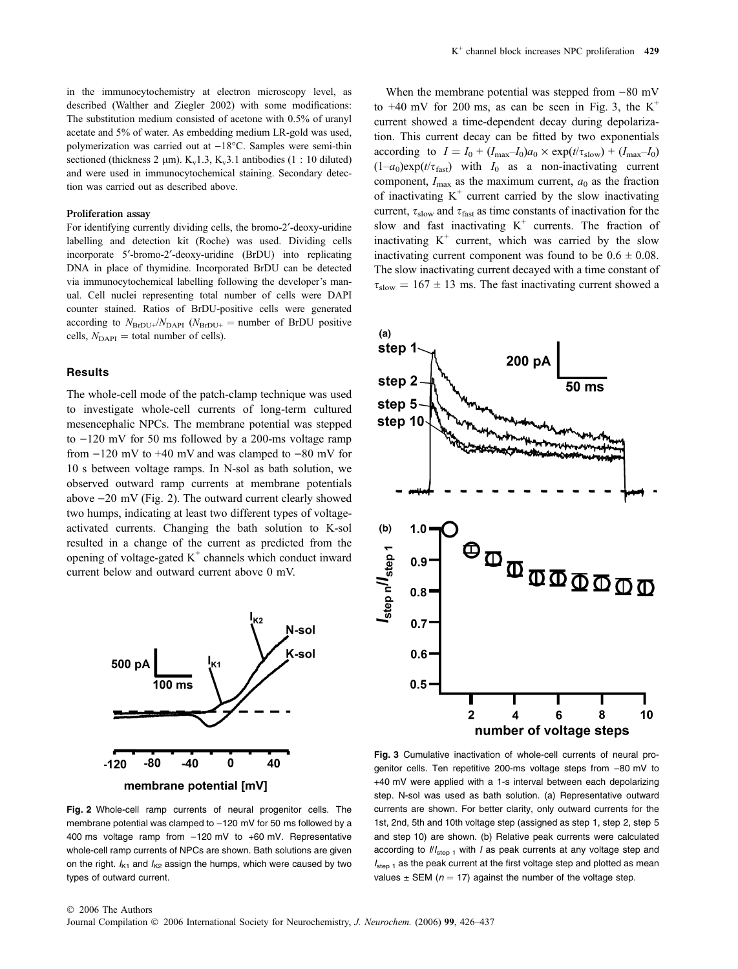in the immunocytochemistry at electron microscopy level, as described (Walther and Ziegler 2002) with some modifications: The substitution medium consisted of acetone with 0.5% of uranyl acetate and 5% of water. As embedding medium LR-gold was used, polymerization was carried out at  $-18^{\circ}$ C. Samples were semi-thin sectioned (thickness 2 µm).  $K_v1.3$ ,  $K_v3.1$  antibodies (1 : 10 diluted) and were used in immunocytochemical staining. Secondary detection was carried out as described above.

#### Proliferation assay

For identifying currently dividing cells, the bromo-2'-deoxy-uridine labelling and detection kit (Roche) was used. Dividing cells incorporate 5'-bromo-2'-deoxy-uridine (BrDU) into replicating DNA in place of thymidine. Incorporated BrDU can be detected via immunocytochemical labelling following the developer's manual. Cell nuclei representing total number of cells were DAPI counter stained. Ratios of BrDU-positive cells were generated according to  $N_{\text{BrDU+}}/N_{\text{DAPI}}$  ( $N_{\text{BrDU+}} =$  number of BrDU positive cells,  $N_{\text{DAPI}} = \text{total number of cells}$ .

## **Results**

The whole-cell mode of the patch-clamp technique was used to investigate whole-cell currents of long-term cultured mesencephalic NPCs. The membrane potential was stepped to  $-120$  mV for 50 ms followed by a 200-ms voltage ramp from  $-120$  mV to  $+40$  mV and was clamped to  $-80$  mV for 10 s between voltage ramps. In N-sol as bath solution, we observed outward ramp currents at membrane potentials above  $-20$  mV (Fig. 2). The outward current clearly showed two humps, indicating at least two different types of voltageactivated currents. Changing the bath solution to K-sol resulted in a change of the current as predicted from the opening of voltage-gated  $K^+$  channels which conduct inward current below and outward current above 0 mV.



membrane potential [mV]

# Fig. 2 Whole-cell ramp currents of neural progenitor cells. The membrane potential was clamped to  $-120$  mV for 50 ms followed by a 400 ms voltage ramp from  $-120$  mV to  $+60$  mV. Representative whole-cell ramp currents of NPCs are shown. Bath solutions are given on the right.  $I_{K1}$  and  $I_{K2}$  assign the humps, which were caused by two types of outward current.

When the membrane potential was stepped from  $-80$  mV to  $+40$  mV for 200 ms, as can be seen in Fig. 3, the K<sup>+</sup> current showed a time-dependent decay during depolarization. This current decay can be fitted by two exponentials according to  $I = I_0 + (I_{\text{max}}-I_0)a_0 \times \exp(t/\tau_{\text{slow}}) + (I_{\text{max}}-I_0)$  $(1-a_0)exp(t/\tau_{\text{fast}})$  with  $I_0$  as a non-inactivating current component,  $I_{\text{max}}$  as the maximum current,  $a_0$  as the fraction of inactivating  $K^+$  current carried by the slow inactivating current,  $\tau_{slow}$  and  $\tau_{fast}$  as time constants of inactivation for the slow and fast inactivating  $K^+$  currents. The fraction of inactivating  $K^+$  current, which was carried by the slow inactivating current component was found to be  $0.6 \pm 0.08$ . The slow inactivating current decayed with a time constant of  $\tau_{slow} = 167 \pm 13$  ms. The fast inactivating current showed a



Fig. 3 Cumulative inactivation of whole-cell currents of neural progenitor cells. Ten repetitive 200-ms voltage steps from -80 mV to +40 mV were applied with a 1-s interval between each depolarizing step. N-sol was used as bath solution. (a) Representative outward currents are shown. For better clarity, only outward currents for the 1st, 2nd, 5th and 10th voltage step (assigned as step 1, step 2, step 5 and step 10) are shown. (b) Relative peak currents were calculated according to  $\frac{1}{s_{\text{step 1}}}$  with *I* as peak currents at any voltage step and  $I_{step 1}$  as the peak current at the first voltage step and plotted as mean values  $\pm$  SEM ( $n = 17$ ) against the number of the voltage step.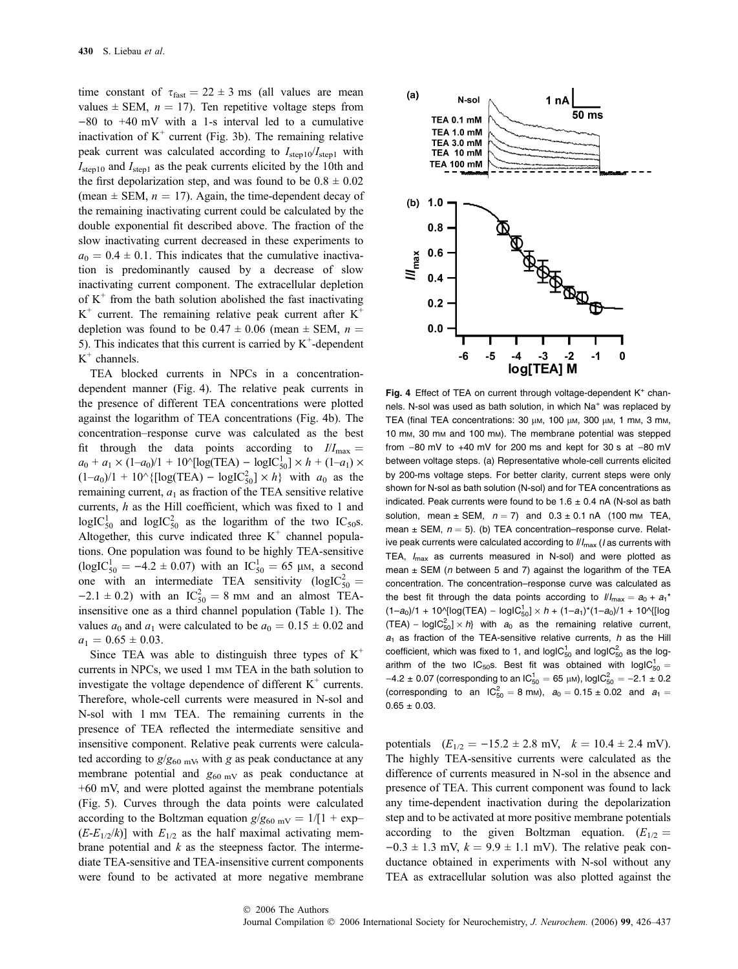time constant of  $\tau_{\text{fast}} = 22 \pm 3$  ms (all values are mean values  $\pm$  SEM,  $n = 17$ ). Ten repetitive voltage steps from  $-80$  to  $+40$  mV with a 1-s interval led to a cumulative inactivation of  $K^+$  current (Fig. 3b). The remaining relative peak current was calculated according to  $I_{\text{step10}}/I_{\text{step1}}$  with  $I_{\text{step 10}}$  and  $I_{\text{step 1}}$  as the peak currents elicited by the 10th and the first depolarization step, and was found to be  $0.8 \pm 0.02$ (mean  $\pm$  SEM,  $n = 17$ ). Again, the time-dependent decay of the remaining inactivating current could be calculated by the double exponential fit described above. The fraction of the slow inactivating current decreased in these experiments to  $a_0 = 0.4 \pm 0.1$ . This indicates that the cumulative inactivation is predominantly caused by a decrease of slow inactivating current component. The extracellular depletion of  $K^+$  from the bath solution abolished the fast inactivating  $K^+$  current. The remaining relative peak current after  $K^+$ depletion was found to be  $0.47 \pm 0.06$  (mean  $\pm$  SEM,  $n =$ 5). This indicates that this current is carried by  $K^+$ -dependent  $K^+$  channels.

TEA blocked currents in NPCs in a concentrationdependent manner (Fig. 4). The relative peak currents in the presence of different TEA concentrations were plotted against the logarithm of TEA concentrations (Fig. 4b). The concentration–response curve was calculated as the best fit through the data points according to  $I/I_{\text{max}} =$  $a_0 + a_1 \times (1-a_0)/1 + 10^{\circ}[\log(\text{TEA}) - \log[\text{C}_{50}^1] \times h + (1-a_1) \times$  $(1-a_0)/1 + 10^{\hat{ }}$  {[log(TEA) – logIC<sup>2</sup><sub>50</sub>]  $\times h$ } with  $a_0$  as the remaining current,  $a_1$  as fraction of the TEA sensitive relative currents, h as the Hill coefficient, which was fixed to 1 and  $logIC_{50}^{1}$  and  $logIC_{50}^{2}$  as the logarithm of the two IC<sub>50</sub>s. Altogether, this curve indicated three  $K^+$  channel populations. One population was found to be highly TEA-sensitive  $(logIC_{50}^{1} = -4.2 \pm 0.07)$  with an  $IC_{50}^{1} = 65 \mu$ M, a second one with an intermediate TEA sensitivity ( $logIC_{50}^2$  =  $-2.1 \pm 0.2$ ) with an IC<sup>2</sup><sub>50</sub> = 8 mm and an almost TEAinsensitive one as a third channel population (Table 1). The values  $a_0$  and  $a_1$  were calculated to be  $a_0 = 0.15 \pm 0.02$  and  $a_1 = 0.65 \pm 0.03$ .

Since TEA was able to distinguish three types of  $K^+$ currents in NPCs, we used 1 mm TEA in the bath solution to investigate the voltage dependence of different  $K^+$  currents. Therefore, whole-cell currents were measured in N-sol and N-sol with 1 mm TEA. The remaining currents in the presence of TEA reflected the intermediate sensitive and insensitive component. Relative peak currents were calculated according to  $g/g_{60 \text{ mV}}$ , with g as peak conductance at any membrane potential and  $g_{60 \text{ mV}}$  as peak conductance at +60 mV, and were plotted against the membrane potentials (Fig. 5). Curves through the data points were calculated according to the Boltzman equation  $g/g_{60 \text{ mV}} = 1/[1 + \exp(-\frac{g}{\omega})]$  $(E-E_{1/2}/k)$ ] with  $E_{1/2}$  as the half maximal activating membrane potential and  $k$  as the steepness factor. The intermediate TEA-sensitive and TEA-insensitive current components were found to be activated at more negative membrane



Fig. 4 Effect of TEA on current through voltage-dependent  $K^+$  channels. N-sol was used as bath solution, in which Na<sup>+</sup> was replaced by TEA (final TEA concentrations: 30 μm, 100 μm, 300 μm, 1 mm, 3 mm, 10 mM, 30 mM and 100 mM). The membrane potential was stepped from  $-80$  mV to  $+40$  mV for 200 ms and kept for 30 s at  $-80$  mV between voltage steps. (a) Representative whole-cell currents elicited by 200-ms voltage steps. For better clarity, current steps were only shown for N-sol as bath solution (N-sol) and for TEA concentrations as indicated. Peak currents were found to be  $1.6 \pm 0.4$  nA (N-sol as bath solution, mean  $\pm$  SEM,  $n = 7$ ) and  $0.3 \pm 0.1$  nA (100 mm TEA, mean  $\pm$  SEM,  $n = 5$ ). (b) TEA concentration–response curve. Relative peak currents were calculated according to  $\frac{1}{\text{max}}$  (*I* as currents with TEA,  $I_{\text{max}}$  as currents measured in N-sol) and were plotted as mean  $\pm$  SEM (n between 5 and 7) against the logarithm of the TEA concentration. The concentration–response curve was calculated as the best fit through the data points according to  $III_{\text{max}} = a_0 + a_1^*$  $(1-a_0)/1 + 10^{\circ}$ [log(TEA) – logIC $_{50}^1$  × h +  $(1-a_1)^*(1-a_0)/1 + 10^{\circ}$ {[log  $(TEA) - logIC_{50}^{2} \times h$ } with  $a_0$  as the remaining relative current,  $a_1$  as fraction of the TEA-sensitive relative currents, h as the Hill coefficient, which was fixed to 1, and logIC $_{50}^1$  and logIC $_{50}^2$  as the logarithm of the two IC<sub>50</sub>s. Best fit was obtained with  $logIC_{50}^{1} =$  $-4.2 \pm 0.07$  (corresponding to an  $IC_{50}^1 = 65$  µm), logIC $_{50}^2 = -2.1 \pm 0.2$ (corresponding to an  $IC_{50}^2 = 8 \text{ mm}$ ),  $a_0 = 0.15 \pm 0.02$  and  $a_1 =$  $0.65 \pm 0.03$ .

potentials  $(E_{1/2} = -15.2 \pm 2.8 \text{ mV}, k = 10.4 \pm 2.4 \text{ mV}).$ The highly TEA-sensitive currents were calculated as the difference of currents measured in N-sol in the absence and presence of TEA. This current component was found to lack any time-dependent inactivation during the depolarization step and to be activated at more positive membrane potentials according to the given Boltzman equation.  $(E_{1/2} =$  $-0.3 \pm 1.3$  mV,  $k = 9.9 \pm 1.1$  mV). The relative peak conductance obtained in experiments with N-sol without any TEA as extracellular solution was also plotted against the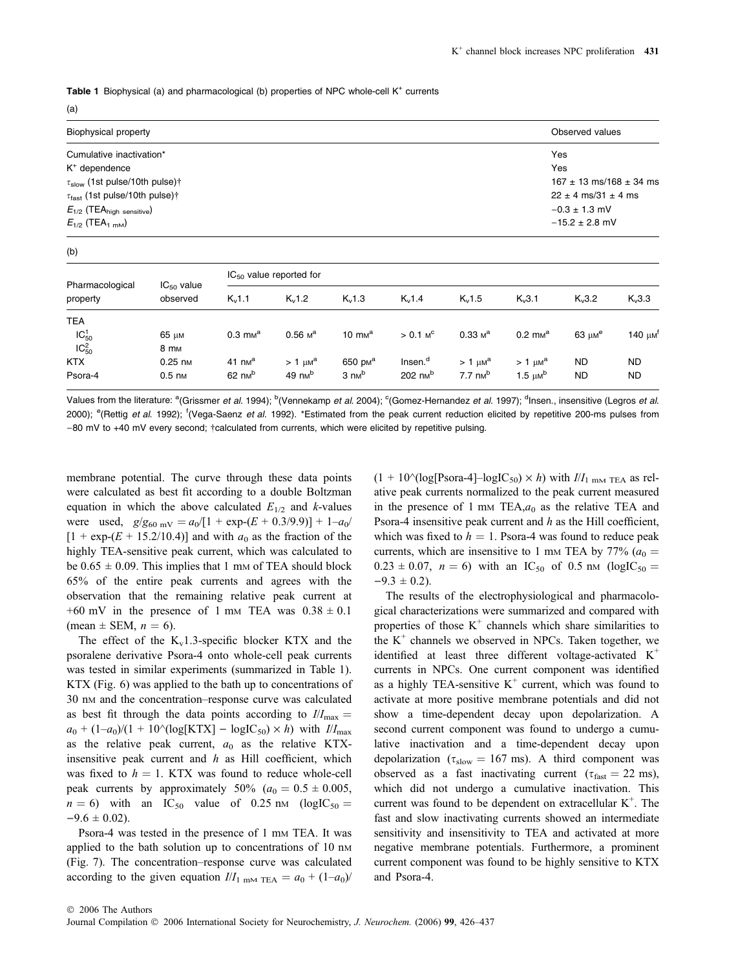Table 1 Biophysical (a) and pharmacological (b) properties of NPC whole-cell K<sup>+</sup> currents

(a)

| Biophysical property                         |                             |                                 |              |                      |                        |                             |                             | Observed values             |                          |  |
|----------------------------------------------|-----------------------------|---------------------------------|--------------|----------------------|------------------------|-----------------------------|-----------------------------|-----------------------------|--------------------------|--|
| Cumulative inactivation*                     |                             |                                 |              |                      |                        |                             |                             | Yes                         |                          |  |
| K <sup>+</sup> dependence                    |                             | Yes                             |              |                      |                        |                             |                             |                             |                          |  |
| $\tau_{slow}$ (1st pulse/10th pulse)†        |                             | $167 \pm 13$ ms/168 $\pm$ 34 ms |              |                      |                        |                             |                             |                             |                          |  |
| $\tau_{\text{fast}}$ (1st pulse/10th pulse)† |                             |                                 |              |                      |                        |                             |                             | $22 \pm 4$ ms/31 $\pm 4$ ms |                          |  |
| $E_{1/2}$ (TEA <sub>high sensitive</sub> )   |                             |                                 |              |                      |                        |                             |                             | $-0.3 \pm 1.3$ mV           |                          |  |
| $E_{1/2}$ (TEA <sub>1 mM</sub> )             |                             |                                 |              |                      |                        |                             |                             | $-15.2 \pm 2.8$ mV          |                          |  |
| (b)                                          |                             |                                 |              |                      |                        |                             |                             |                             |                          |  |
| Pharmacological<br>property                  | $IC_{50}$ value<br>observed | $IC_{50}$ value reported for    |              |                      |                        |                             |                             |                             |                          |  |
|                                              |                             | $K_v1.1$                        | $K_v1.2$     | $K_v1.3$             | $K_v1.4$               | $K_v 1.5$                   | $K_v3.1$                    | $K_v3.2$                    | $K_v3.3$                 |  |
| <b>TEA</b>                                   |                             |                                 |              |                      |                        |                             |                             |                             |                          |  |
| $IC_{50}^{1}$                                | 65 µм                       | $0.3 \text{ mm}^{\text{a}}$     | $0.56$ $M^a$ | $10 \text{ mm}^a$    | $> 0.1$ M <sup>c</sup> | $0.33 \text{ m}^{\text{a}}$ | $0.2 \text{ mm}^{\text{a}}$ | 63 $\mu$ M <sup>e</sup>     | 140 $\mu$ M <sup>t</sup> |  |
| $IC_{50}^2$                                  | 8 m <sub>M</sub>            |                                 |              |                      |                        |                             |                             |                             |                          |  |
| <b>KTX</b>                                   | $0.25$ nm                   | $41 \text{ nm}^a$               | $>1 \mu M^a$ | 650 p <sub>M</sub> a | Insen. <sup>d</sup>    | $> 1 \mu M^a$               | $>1 \mu M^a$                | <b>ND</b>                   | <b>ND</b>                |  |

Values from the literature: <sup>a</sup>(Grissmer *et al.* 1994); <sup>b</sup>(Vennekamp *et al.* 2004); <sup>c</sup>(Gomez-Hernandez *et al.* 1997); <sup>d</sup>Insen., insensitive (Legros *et al.* 2000); <sup>e</sup>(Rettig et al. 1992); <sup>f</sup>(Vega-Saenz et al. 1992). \*Estimated from the peak current reduction elicited by repetitive 200-ms pulses from -80 mV to +40 mV every second; †calculated from currents, which were elicited by repetitive pulsing.

Psora-4 0.5 nm 62 nm  $^{b}$  49 nm  $^{b}$  3 nm  $^{b}$  202 nm  $^{b}$  7.7 nm  $^{b}$  1.5  $\mu$ m  $^{b}$  ND ND

membrane potential. The curve through these data points were calculated as best fit according to a double Boltzman equation in which the above calculated  $E_{1/2}$  and k-values were used,  $g/g_{60 \text{ mV}} = a_0/[1 + \exp{-(E + 0.3/9.9)}] + 1-a_0/1$  $[1 + \exp{-(E + 15.2/10.4)}]$  and with  $a_0$  as the fraction of the highly TEA-sensitive peak current, which was calculated to be  $0.65 \pm 0.09$ . This implies that 1 mm of TEA should block 65% of the entire peak currents and agrees with the observation that the remaining relative peak current at  $+60$  mV in the presence of 1 mm TEA was  $0.38 \pm 0.1$ (mean  $\pm$  SEM,  $n = 6$ ).

The effect of the  $K_v1.3$ -specific blocker KTX and the psoralene derivative Psora-4 onto whole-cell peak currents was tested in similar experiments (summarized in Table 1). KTX (Fig. 6) was applied to the bath up to concentrations of 30 nM and the concentration–response curve was calculated as best fit through the data points according to  $I/I_{\text{max}} =$  $a_0 + (1-a_0)/(1 + 10^{6}(\log[KTX] - \logIC_{50}) \times h)$  with  $I/I_{\max}$ as the relative peak current,  $a_0$  as the relative KTXinsensitive peak current and  $h$  as Hill coefficient, which was fixed to  $h = 1$ . KTX was found to reduce whole-cell peak currents by approximately 50% ( $a_0 = 0.5 \pm 0.005$ ,  $n = 6$ ) with an IC<sub>50</sub> value of 0.25 nm (logIC<sub>50</sub> =  $-9.6 \pm 0.02$ .

Psora-4 was tested in the presence of 1 mm TEA. It was applied to the bath solution up to concentrations of 10 nm (Fig. 7). The concentration–response curve was calculated according to the given equation  $I/I_{1 \text{ mm TEA}} = a_0 + (1-a_0)$   $(1 + 10^{\circ}(\text{log}[Posora-4]-\text{logIC}_{50}) \times h)$  with  $I/I_{1 \text{ mM TEA}}$  as relative peak currents normalized to the peak current measured in the presence of 1 mm TEA, $a_0$  as the relative TEA and Psora-4 insensitive peak current and  $h$  as the Hill coefficient, which was fixed to  $h = 1$ . Psora-4 was found to reduce peak currents, which are insensitive to 1 mm TEA by 77% ( $a_0 =$  $0.23 \pm 0.07$ ,  $n = 6$ ) with an IC<sub>50</sub> of 0.5 nm (logIC<sub>50</sub> =  $-9.3 \pm 0.2$ ).

The results of the electrophysiological and pharmacological characterizations were summarized and compared with properties of those  $K^+$  channels which share similarities to the  $K^+$  channels we observed in NPCs. Taken together, we identified at least three different voltage-activated  $K^+$ currents in NPCs. One current component was identified as a highly TEA-sensitive  $K^+$  current, which was found to activate at more positive membrane potentials and did not show a time-dependent decay upon depolarization. A second current component was found to undergo a cumulative inactivation and a time-dependent decay upon depolarization ( $\tau_{slow} = 167$  ms). A third component was observed as a fast inactivating current ( $\tau_{\text{fast}} = 22 \text{ ms}$ ), which did not undergo a cumulative inactivation. This current was found to be dependent on extracellular K<sup>+</sup>. The fast and slow inactivating currents showed an intermediate sensitivity and insensitivity to TEA and activated at more negative membrane potentials. Furthermore, a prominent current component was found to be highly sensitive to KTX and Psora-4.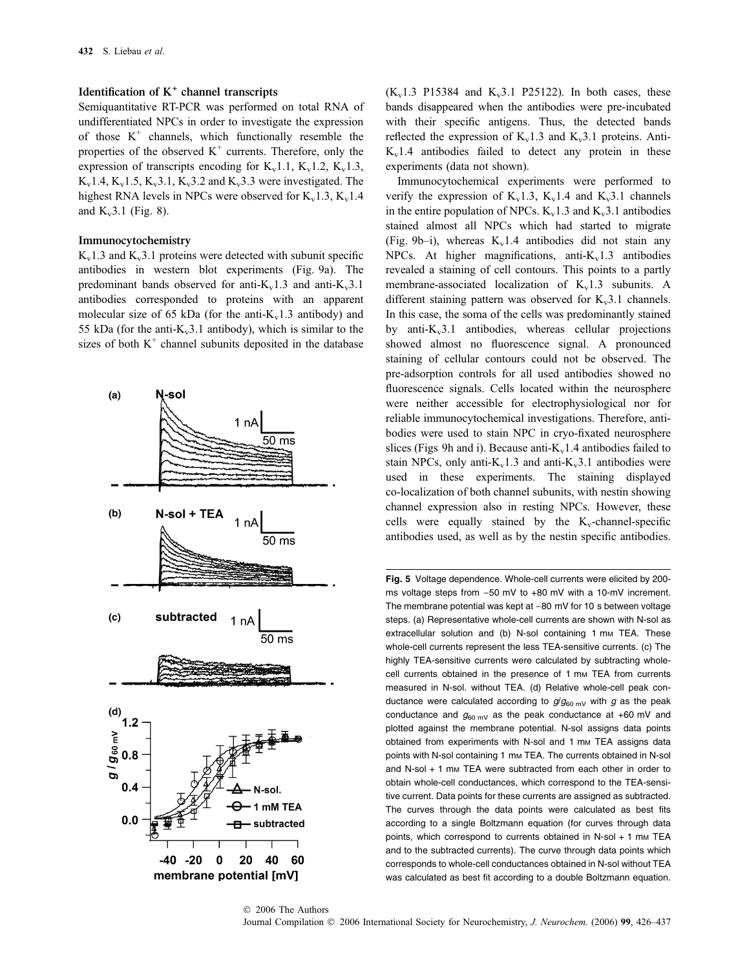# Identification of  $K^+$  channel transcripts

Semiquantitative RT-PCR was performed on total RNA of undifferentiated NPCs in order to investigate the expression of those  $K^+$  channels, which functionally resemble the properties of the observed  $K^+$  currents. Therefore, only the expression of transcripts encoding for  $K_v$ 1.1,  $K_v$ 1.2,  $K_v$ 1.3,  $K_v$ 1.4,  $K_v$ 1.5,  $K_v$ 3.1,  $K_v$ 3.2 and  $K_v$ 3.3 were investigated. The highest RNA levels in NPCs were observed for  $K_v$ 1.3,  $K_v$ 1.4 and  $K_v3.1$  (Fig. 8).

#### Immunocytochemistry

 $K_v1.3$  and  $K_v3.1$  proteins were detected with subunit specific antibodies in western blot experiments (Fig. 9a). The predominant bands observed for anti- $K_v1.3$  and anti- $K_v3.1$ antibodies corresponded to proteins with an apparent molecular size of 65 kDa (for the anti- $K_v1.3$  antibody) and 55 kDa (for the anti- $K_v$ 3.1 antibody), which is similar to the sizes of both  $K^+$  channel subunits deposited in the database



 $(K_v1.3 \text{ P15384}$  and  $K_v3.1 \text{ P25122}$ ). In both cases, these bands disappeared when the antibodies were pre-incubated with their specific antigens. Thus, the detected bands reflected the expression of  $K_v1.3$  and  $K_v3.1$  proteins. Anti- $K_v1.4$  antibodies failed to detect any protein in these experiments (data not shown).

Immunocytochemical experiments were performed to verify the expression of  $K_v1.3$ ,  $K_v1.4$  and  $K_v3.1$  channels in the entire population of NPCs.  $K_v1.3$  and  $K_v3.1$  antibodies stained almost all NPCs which had started to migrate (Fig. 9b–i), whereas  $K_v1.4$  antibodies did not stain any NPCs. At higher magnifications, anti- $K_v$ 1.3 antibodies revealed a staining of cell contours. This points to a partly membrane-associated localization of  $K_v1.3$  subunits. A different staining pattern was observed for  $K_v$ 3.1 channels. In this case, the soma of the cells was predominantly stained by anti- $K_v$ 3.1 antibodies, whereas cellular projections showed almost no fluorescence signal. A pronounced staining of cellular contours could not be observed. The pre-adsorption controls for all used antibodies showed no fluorescence signals. Cells located within the neurosphere were neither accessible for electrophysiological nor for reliable immunocytochemical investigations. Therefore, antibodies were used to stain NPC in cryo-fixated neurosphere slices (Figs 9h and i). Because anti- $K_v$ 1.4 antibodies failed to stain NPCs, only anti- $K_v1.3$  and anti- $K_v3.1$  antibodies were used in these experiments. The staining displayed co-localization of both channel subunits, with nestin showing channel expression also in resting NPCs. However, these cells were equally stained by the  $K_v$ -channel-specific antibodies used, as well as by the nestin specific antibodies.

Fig. 5 Voltage dependence. Whole-cell currents were elicited by 200 ms voltage steps from  $-50$  mV to  $+80$  mV with a 10-mV increment. The membrane potential was kept at  $-80$  mV for 10 s between voltage steps. (a) Representative whole-cell currents are shown with N-sol as extracellular solution and (b) N-sol containing 1 mm TEA. These whole-cell currents represent the less TEA-sensitive currents. (c) The highly TEA-sensitive currents were calculated by subtracting wholecell currents obtained in the presence of 1 mm TEA from currents measured in N-sol. without TEA. (d) Relative whole-cell peak conductance were calculated according to  $g/g_{60 \text{ mV}}$  with g as the peak conductance and  $g_{60 \text{ mV}}$  as the peak conductance at +60 mV and plotted against the membrane potential. N-sol assigns data points obtained from experiments with N-sol and 1 mm TEA assigns data points with N-sol containing 1 mm TEA. The currents obtained in N-sol and N-sol  $+$  1 mm TEA were subtracted from each other in order to obtain whole-cell conductances, which correspond to the TEA-sensitive current. Data points for these currents are assigned as subtracted. The curves through the data points were calculated as best fits according to a single Boltzmann equation (for curves through data points, which correspond to currents obtained in N-sol  $+$  1 mm TEA and to the subtracted currents). The curve through data points which corresponds to whole-cell conductances obtained in N-sol without TEA was calculated as best fit according to a double Boltzmann equation.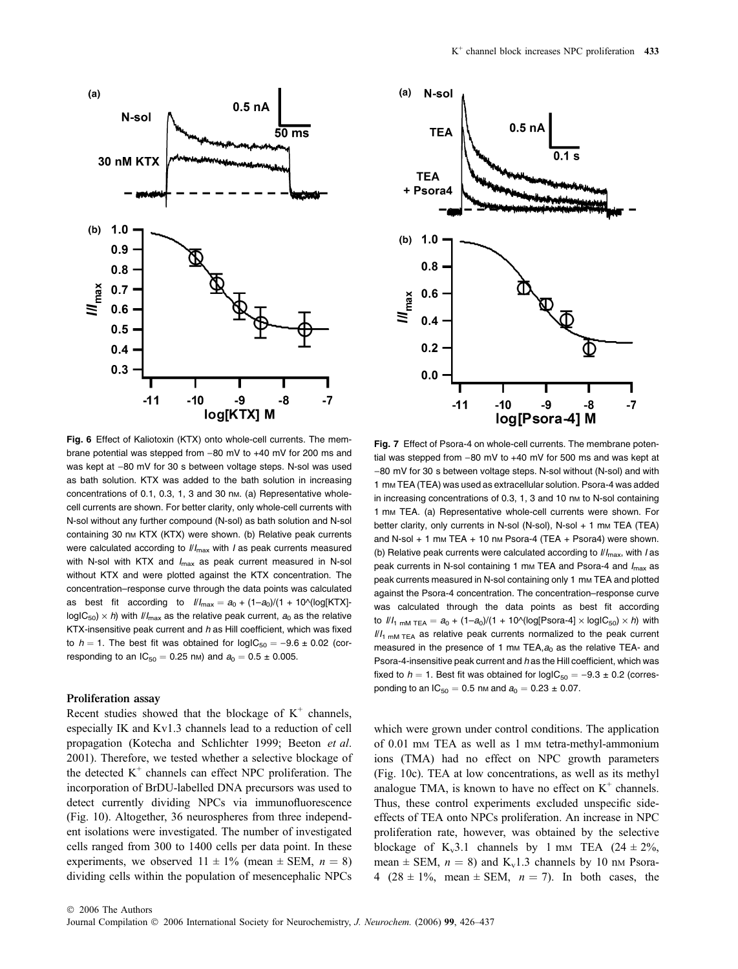

Fig. 6 Effect of Kaliotoxin (KTX) onto whole-cell currents. The membrane potential was stepped from  $-80$  mV to  $+40$  mV for 200 ms and was kept at -80 mV for 30 s between voltage steps. N-sol was used as bath solution. KTX was added to the bath solution in increasing concentrations of 0.1, 0.3, 1, 3 and 30 nм. (a) Representative wholecell currents are shown. For better clarity, only whole-cell currents with N-sol without any further compound (N-sol) as bath solution and N-sol containing 30 nm KTX (KTX) were shown. (b) Relative peak currents were calculated according to  $III_{\text{max}}$  with *I* as peak currents measured with N-sol with KTX and  $I_{\text{max}}$  as peak current measured in N-sol without KTX and were plotted against the KTX concentration. The concentration–response curve through the data points was calculated as best fit according to  $III_{\text{max}} = a_0 + (1-a_0)/(1 + 10^{-10})$  [KTX] $log|C_{50}\rangle \times h$ ) with  $I/I_{max}$  as the relative peak current,  $a_0$  as the relative KTX-insensitive peak current and  $h$  as Hill coefficient, which was fixed to  $h = 1$ . The best fit was obtained for  $logIC_{50} = -9.6 \pm 0.02$  (corresponding to an  $IC_{50} = 0.25$  nm) and  $a_0 = 0.5 \pm 0.005$ .

#### Proliferation assay

Recent studies showed that the blockage of  $K^+$  channels, especially IK and Kv1.3 channels lead to a reduction of cell propagation (Kotecha and Schlichter 1999; Beeton et al. 2001). Therefore, we tested whether a selective blockage of the detected  $K^+$  channels can effect NPC proliferation. The incorporation of BrDU-labelled DNA precursors was used to detect currently dividing NPCs via immunofluorescence (Fig. 10). Altogether, 36 neurospheres from three independent isolations were investigated. The number of investigated cells ranged from 300 to 1400 cells per data point. In these experiments, we observed  $11 \pm 1\%$  (mean  $\pm$  SEM,  $n = 8$ ) dividing cells within the population of mesencephalic NPCs



Fig. 7 Effect of Psora-4 on whole-cell currents. The membrane potential was stepped from  $-80$  mV to  $+40$  mV for 500 ms and was kept at -80 mV for 30 s between voltage steps. N-sol without (N-sol) and with 1 mM TEA (TEA) was used as extracellular solution. Psora-4 was added in increasing concentrations of 0.3, 1, 3 and 10 nm to N-sol containing 1 mm TEA. (a) Representative whole-cell currents were shown. For better clarity, only currents in N-sol (N-sol), N-sol + 1 mm TEA (TEA) and N-sol  $+ 1$  mm TEA  $+ 10$  nm Psora-4 (TEA  $+$  Psora4) were shown. (b) Relative peak currents were calculated according to  $I/I_{\text{max}}$ , with I as peak currents in N-sol containing 1 mm TEA and Psora-4 and  $I_{\text{max}}$  as peak currents measured in N-sol containing only 1 mm TEA and plotted against the Psora-4 concentration. The concentration–response curve was calculated through the data points as best fit according to  $\frac{1}{1}$ <sub>nM</sub> TEA =  $a_0 + (1-a_0)/(1 + 10^{n} \log[Psora-4] \times log(C_{50}) \times h)$  with  $II_1$ <sub>mM TEA</sub> as relative peak currents normalized to the peak current measured in the presence of 1 mm TEA, $a_0$  as the relative TEA- and Psora-4-insensitive peak current and h as the Hill coefficient, which was fixed to  $h = 1$ . Best fit was obtained for  $logIC_{50} = -9.3 \pm 0.2$  (corresponding to an  $IC_{50} = 0.5$  nm and  $a_0 = 0.23 \pm 0.07$ .

which were grown under control conditions. The application of 0.01 mm TEA as well as 1 mm tetra-methyl-ammonium ions (TMA) had no effect on NPC growth parameters (Fig. 10c). TEA at low concentrations, as well as its methyl analogue TMA, is known to have no effect on  $K^+$  channels. Thus, these control experiments excluded unspecific sideeffects of TEA onto NPCs proliferation. An increase in NPC proliferation rate, however, was obtained by the selective blockage of K<sub>v</sub>3.1 channels by 1 mm TEA  $(24 \pm 2\%)$ , mean  $\pm$  SEM,  $n = 8$ ) and K<sub>v</sub>1.3 channels by 10 nm Psora-4 (28  $\pm$  1%, mean  $\pm$  SEM,  $n = 7$ ). In both cases, the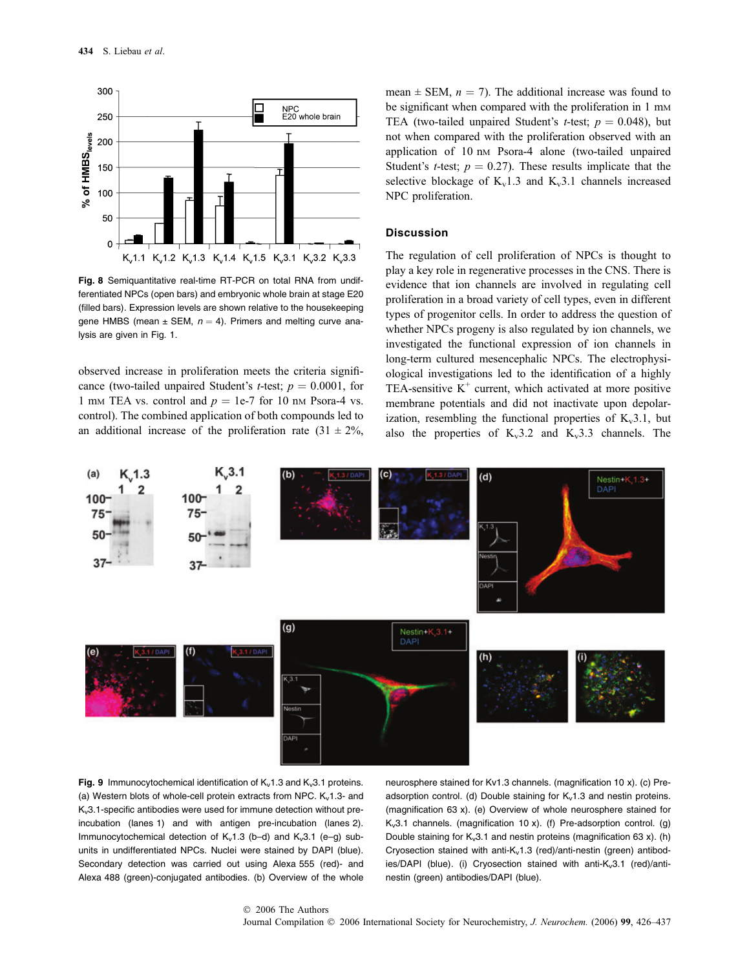

Fig. 8 Semiquantitative real-time RT-PCR on total RNA from undifferentiated NPCs (open bars) and embryonic whole brain at stage E20 (filled bars). Expression levels are shown relative to the housekeeping gene HMBS (mean  $\pm$  SEM,  $n = 4$ ). Primers and melting curve analysis are given in Fig. 1.

observed increase in proliferation meets the criteria significance (two-tailed unpaired Student's *t*-test;  $p = 0.0001$ , for 1 mm TEA vs. control and  $p = 1e-7$  for 10 nm Psora-4 vs. control). The combined application of both compounds led to an additional increase of the proliferation rate  $(31 \pm 2\%$ , mean  $\pm$  SEM,  $n = 7$ ). The additional increase was found to be significant when compared with the proliferation in 1 mm TEA (two-tailed unpaired Student's *t*-test;  $p = 0.048$ ), but not when compared with the proliferation observed with an application of 10 nm Psora-4 alone (two-tailed unpaired Student's *t*-test;  $p = 0.27$ ). These results implicate that the selective blockage of  $K_v1.3$  and  $K_v3.1$  channels increased NPC proliferation.

# **Discussion**

The regulation of cell proliferation of NPCs is thought to play a key role in regenerative processes in the CNS. There is evidence that ion channels are involved in regulating cell proliferation in a broad variety of cell types, even in different types of progenitor cells. In order to address the question of whether NPCs progeny is also regulated by ion channels, we investigated the functional expression of ion channels in long-term cultured mesencephalic NPCs. The electrophysiological investigations led to the identification of a highly TEA-sensitive  $K^+$  current, which activated at more positive membrane potentials and did not inactivate upon depolarization, resembling the functional properties of  $K_v3.1$ , but also the properties of  $K_v3.2$  and  $K_v3.3$  channels. The



Fig. 9 Immunocytochemical identification of  $K_v 1.3$  and  $K_v 3.1$  proteins. (a) Western blots of whole-cell protein extracts from NPC.  $K_v$ 1.3- and Kv3.1-specific antibodies were used for immune detection without preincubation (lanes 1) and with antigen pre-incubation (lanes 2). Immunocytochemical detection of  $K_v1.3$  (b–d) and  $K_v3.1$  (e–g) subunits in undifferentiated NPCs. Nuclei were stained by DAPI (blue). Secondary detection was carried out using Alexa 555 (red)- and Alexa 488 (green)-conjugated antibodies. (b) Overview of the whole neurosphere stained for Kv1.3 channels. (magnification 10 x). (c) Preadsorption control. (d) Double staining for  $K_v 1.3$  and nestin proteins. (magnification 63 x). (e) Overview of whole neurosphere stained for  $K_v3.1$  channels. (magnification 10 x). (f) Pre-adsorption control. (g) Double staining for  $K_v 3.1$  and nestin proteins (magnification 63 x). (h) Cryosection stained with anti-K<sub>v</sub>1.3 (red)/anti-nestin (green) antibodies/DAPI (blue). (i) Cryosection stained with anti- $K_v3.1$  (red)/antinestin (green) antibodies/DAPI (blue).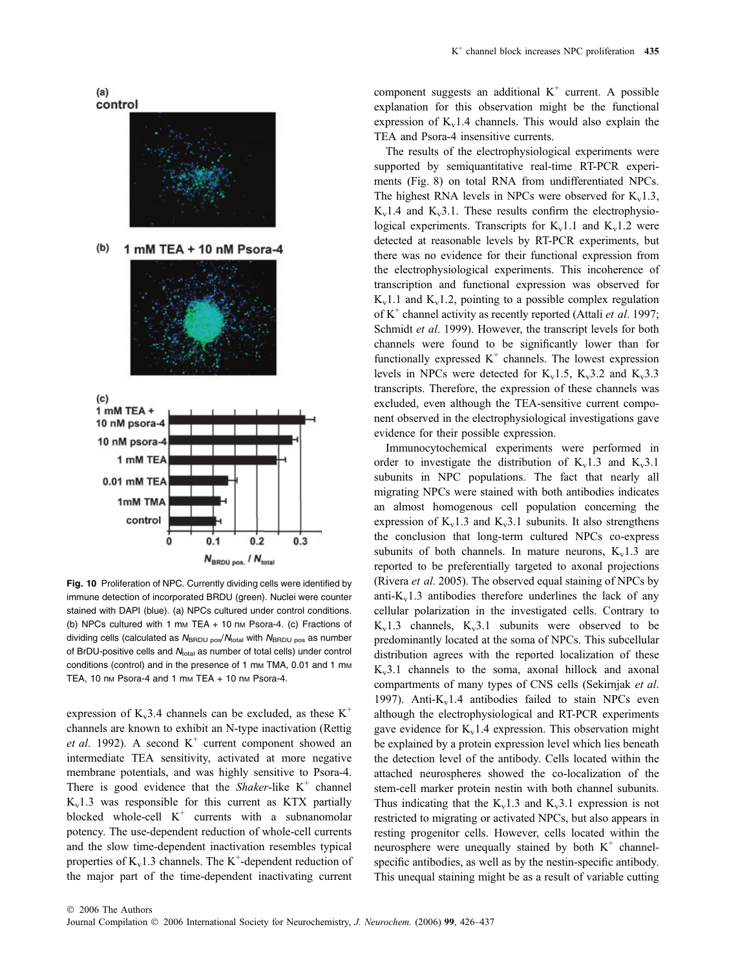

Fig. 10 Proliferation of NPC. Currently dividing cells were identified by immune detection of incorporated BRDU (green). Nuclei were counter stained with DAPI (blue). (a) NPCs cultured under control conditions. (b) NPCs cultured with 1 mm TEA + 10 nm Psora-4. (c) Fractions of dividing cells (calculated as  $N_{\text{BRDU pos}}/N_{\text{total}}$  with  $N_{\text{BRDU pos}}$  as number of BrDU-positive cells and  $N_{total}$  as number of total cells) under control conditions (control) and in the presence of 1 mm TMA, 0.01 and 1 mm TEA, 10 nm Psora-4 and 1 mm TEA + 10 nm Psora-4.

expression of  $K_v$ 3.4 channels can be excluded, as these  $K^+$ channels are known to exhibit an N-type inactivation (Rettig *et al.* 1992). A second  $K^+$  current component showed an intermediate TEA sensitivity, activated at more negative membrane potentials, and was highly sensitive to Psora-4. There is good evidence that the *Shaker*-like  $K^+$  channel  $K_v1.3$  was responsible for this current as KTX partially blocked whole-cell  $K^+$  currents with a subnanomolar potency. The use-dependent reduction of whole-cell currents and the slow time-dependent inactivation resembles typical properties of  $K_v1.3$  channels. The  $K^+$ -dependent reduction of the major part of the time-dependent inactivating current component suggests an additional  $K^+$  current. A possible explanation for this observation might be the functional expression of  $K_v1.4$  channels. This would also explain the TEA and Psora-4 insensitive currents.

The results of the electrophysiological experiments were supported by semiquantitative real-time RT-PCR experiments (Fig. 8) on total RNA from undifferentiated NPCs. The highest RNA levels in NPCs were observed for  $K_v$ 1.3,  $K_v1.4$  and  $K_v3.1$ . These results confirm the electrophysiological experiments. Transcripts for  $K_v1.1$  and  $K_v1.2$  were detected at reasonable levels by RT-PCR experiments, but there was no evidence for their functional expression from the electrophysiological experiments. This incoherence of transcription and functional expression was observed for  $K_v1.1$  and  $K_v1.2$ , pointing to a possible complex regulation of  $K^+$  channel activity as recently reported (Attali *et al.* 1997; Schmidt et al. 1999). However, the transcript levels for both channels were found to be significantly lower than for functionally expressed  $K^+$  channels. The lowest expression levels in NPCs were detected for  $K_v1.5$ ,  $K_v3.2$  and  $K_v3.3$ transcripts. Therefore, the expression of these channels was excluded, even although the TEA-sensitive current component observed in the electrophysiological investigations gave evidence for their possible expression.

Immunocytochemical experiments were performed in order to investigate the distribution of  $K_v 1.3$  and  $K_v 3.1$ subunits in NPC populations. The fact that nearly all migrating NPCs were stained with both antibodies indicates an almost homogenous cell population concerning the expression of  $K_v1.3$  and  $K_v3.1$  subunits. It also strengthens the conclusion that long-term cultured NPCs co-express subunits of both channels. In mature neurons,  $K_v1.3$  are reported to be preferentially targeted to axonal projections (Rivera et al. 2005). The observed equal staining of NPCs by anti- $K_v$ 1.3 antibodies therefore underlines the lack of any cellular polarization in the investigated cells. Contrary to  $K_v1.3$  channels,  $K_v3.1$  subunits were observed to be predominantly located at the soma of NPCs. This subcellular distribution agrees with the reported localization of these  $K_v3.1$  channels to the soma, axonal hillock and axonal compartments of many types of CNS cells (Sekirnjak et al. 1997). Anti- $K_v1.4$  antibodies failed to stain NPCs even although the electrophysiological and RT-PCR experiments gave evidence for  $K_v1.4$  expression. This observation might be explained by a protein expression level which lies beneath the detection level of the antibody. Cells located within the attached neurospheres showed the co-localization of the stem-cell marker protein nestin with both channel subunits. Thus indicating that the  $K_v1.3$  and  $K_v3.1$  expression is not restricted to migrating or activated NPCs, but also appears in resting progenitor cells. However, cells located within the neurosphere were unequally stained by both  $K^+$  channelspecific antibodies, as well as by the nestin-specific antibody. This unequal staining might be as a result of variable cutting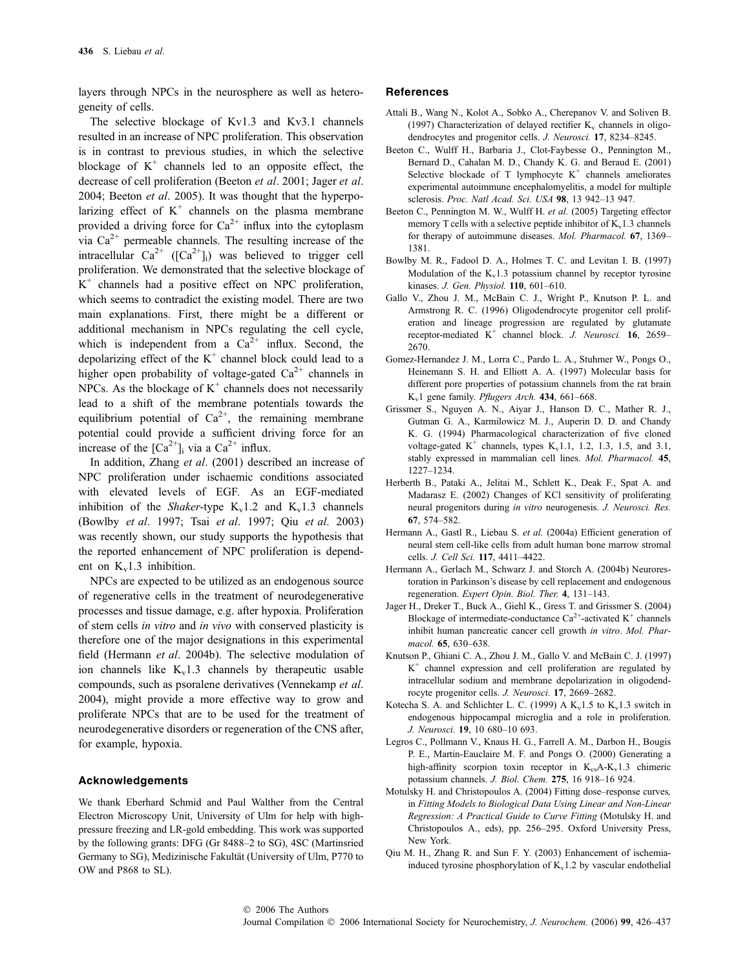layers through NPCs in the neurosphere as well as heterogeneity of cells.

The selective blockage of Kv1.3 and Kv3.1 channels resulted in an increase of NPC proliferation. This observation is in contrast to previous studies, in which the selective blockage of  $K^+$  channels led to an opposite effect, the decrease of cell proliferation (Beeton et al. 2001; Jager et al. 2004; Beeton et al. 2005). It was thought that the hyperpolarizing effect of  $K^+$  channels on the plasma membrane provided a driving force for  $Ca^{2+}$  influx into the cytoplasm via  $Ca^{2+}$  permeable channels. The resulting increase of the intracellular  $Ca^{2+}$  ([Ca<sup>2+</sup>]<sub>i</sub>) was believed to trigger cell proliferation. We demonstrated that the selective blockage of  $K^+$  channels had a positive effect on NPC proliferation, which seems to contradict the existing model. There are two main explanations. First, there might be a different or additional mechanism in NPCs regulating the cell cycle, which is independent from a  $Ca^{2+}$  influx. Second, the depolarizing effect of the  $K^+$  channel block could lead to a higher open probability of voltage-gated  $Ca^{2+}$  channels in NPCs. As the blockage of  $K^+$  channels does not necessarily lead to a shift of the membrane potentials towards the equilibrium potential of  $Ca^{2+}$ , the remaining membrane potential could provide a sufficient driving force for an increase of the  $[Ca^{2+}]_i$  via a  $Ca^{2+}$  influx.

In addition, Zhang et al. (2001) described an increase of NPC proliferation under ischaemic conditions associated with elevated levels of EGF. As an EGF-mediated inhibition of the *Shaker*-type  $K_v1.2$  and  $K_v1.3$  channels (Bowlby et al. 1997; Tsai et al. 1997; Qiu et al. 2003) was recently shown, our study supports the hypothesis that the reported enhancement of NPC proliferation is dependent on  $K_v1.3$  inhibition.

NPCs are expected to be utilized as an endogenous source of regenerative cells in the treatment of neurodegenerative processes and tissue damage, e.g. after hypoxia. Proliferation of stem cells in vitro and in vivo with conserved plasticity is therefore one of the major designations in this experimental field (Hermann et al. 2004b). The selective modulation of ion channels like  $K_v1.3$  channels by the rapeutic usable compounds, such as psoralene derivatives (Vennekamp et al. 2004), might provide a more effective way to grow and proliferate NPCs that are to be used for the treatment of neurodegenerative disorders or regeneration of the CNS after, for example, hypoxia.

## Acknowledgements

We thank Eberhard Schmid and Paul Walther from the Central Electron Microscopy Unit, University of Ulm for help with highpressure freezing and LR-gold embedding. This work was supported by the following grants: DFG (Gr 8488–2 to SG), 4SC (Martinsried Germany to SG), Medizinische Fakultät (University of Ulm, P770 to OW and P868 to SL).

## References

- Attali B., Wang N., Kolot A., Sobko A., Cherepanov V. and Soliven B. (1997) Characterization of delayed rectifier  $K_v$  channels in oligodendrocytes and progenitor cells. J. Neurosci. 17, 8234–8245.
- Beeton C., Wulff H., Barbaria J., Clot-Faybesse O., Pennington M., Bernard D., Cahalan M. D., Chandy K. G. and Beraud E. (2001) Selective blockade of T lymphocyte  $K^+$  channels ameliorates experimental autoimmune encephalomyelitis, a model for multiple sclerosis. Proc. Natl Acad. Sci. USA 98, 13 942–13 947.
- Beeton C., Pennington M. W., Wulff H. et al. (2005) Targeting effector memory T cells with a selective peptide inhibitor of  $K_v$ 1.3 channels for therapy of autoimmune diseases. Mol. Pharmacol. 67, 1369– 1381.
- Bowlby M. R., Fadool D. A., Holmes T. C. and Levitan I. B. (1997) Modulation of the  $K_v1.3$  potassium channel by receptor tyrosine kinases. J. Gen. Physiol. 110, 601–610.
- Gallo V., Zhou J. M., McBain C. J., Wright P., Knutson P. L. and Armstrong R. C. (1996) Oligodendrocyte progenitor cell proliferation and lineage progression are regulated by glutamate receptor-mediated  $K^+$  channel block. J. Neurosci. 16, 2659– 2670.
- Gomez-Hernandez J. M., Lorra C., Pardo L. A., Stuhmer W., Pongs O., Heinemann S. H. and Elliott A. A. (1997) Molecular basis for different pore properties of potassium channels from the rat brain K<sub>v</sub>1 gene family. Pflugers Arch. 434, 661-668.
- Grissmer S., Nguyen A. N., Aiyar J., Hanson D. C., Mather R. J., Gutman G. A., Karmilowicz M. J., Auperin D. D. and Chandy K. G. (1994) Pharmacological characterization of five cloned voltage-gated  $K^+$  channels, types  $K_v$ 1.1, 1.2, 1.3, 1.5, and 3.1, stably expressed in mammalian cell lines. Mol. Pharmacol. 45, 1227–1234.
- Herberth B., Pataki A., Jelitai M., Schlett K., Deak F., Spat A. and Madarasz E. (2002) Changes of KCl sensitivity of proliferating neural progenitors during in vitro neurogenesis. J. Neurosci. Res. 67, 574–582.
- Hermann A., Gastl R., Liebau S. et al. (2004a) Efficient generation of neural stem cell-like cells from adult human bone marrow stromal cells. J. Cell Sci. 117, 4411–4422.
- Hermann A., Gerlach M., Schwarz J. and Storch A. (2004b) Neurorestoration in Parkinson's disease by cell replacement and endogenous regeneration. Expert Opin. Biol. Ther. 4, 131–143.
- Jager H., Dreker T., Buck A., Giehl K., Gress T. and Grissmer S. (2004) Blockage of intermediate-conductance  $Ca^{2+}$ -activated K<sup>+</sup> channels inhibit human pancreatic cancer cell growth in vitro. Mol. Pharmacol. **65**, 630–638.
- Knutson P., Ghiani C. A., Zhou J. M., Gallo V. and McBain C. J. (1997)  $K^+$  channel expression and cell proliferation are regulated by intracellular sodium and membrane depolarization in oligodendrocyte progenitor cells. J. Neurosci. 17, 2669–2682.
- Kotecha S. A. and Schlichter L. C. (1999) A  $K_v1.5$  to  $K_v1.3$  switch in endogenous hippocampal microglia and a role in proliferation. J. Neurosci. 19, 10 680–10 693.
- Legros C., Pollmann V., Knaus H. G., Farrell A. M., Darbon H., Bougis P. E., Martin-Eauclaire M. F. and Pongs O. (2000) Generating a high-affinity scorpion toxin receptor in  $K_{cs}A-K_v1.3$  chimeric potassium channels. J. Biol. Chem. 275, 16 918–16 924.
- Motulsky H. and Christopoulos A. (2004) Fitting dose–response curves, in Fitting Models to Biological Data Using Linear and Non-Linear Regression: A Practical Guide to Curve Fitting (Motulsky H. and Christopoulos A., eds), pp. 256–295. Oxford University Press, New York.
- Qiu M. H., Zhang R. and Sun F. Y. (2003) Enhancement of ischemiainduced tyrosine phosphorylation of  $K_v1.2$  by vascular endothelial